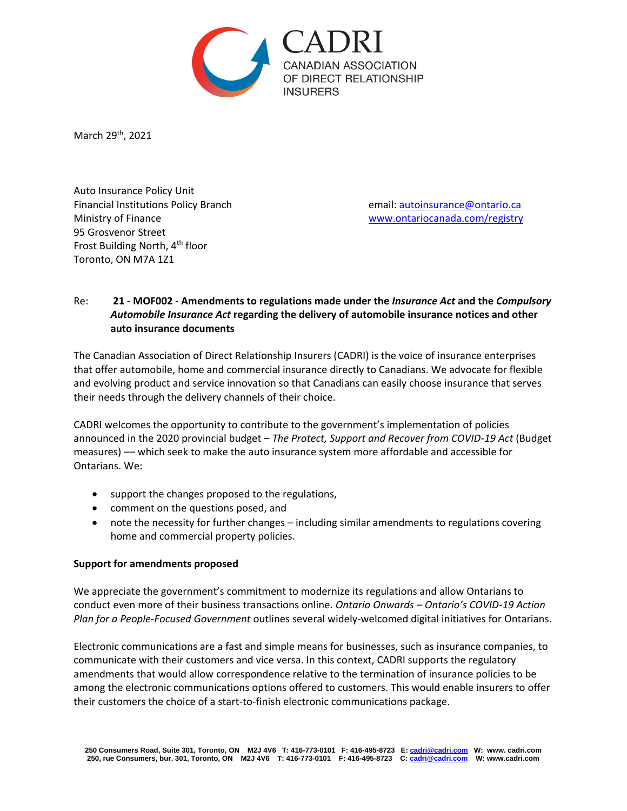

March 29th, 2021

Auto Insurance Policy Unit Financial Institutions Policy Branch email: [autoinsurance@ontario.ca](mailto:autoinsurance@ontario.ca) Ministry of Finance [www.ontariocanada.com/registry](http://www.ontariocanada.com/registry) 95 Grosvenor Street Frost Building North, 4th floor Toronto, ON M7A 1Z1

# Re: **21 - MOF002 - Amendments to regulations made under the** *Insurance Act* **and the** *Compulsory Automobile Insurance Act* **regarding the delivery of automobile insurance notices and other auto insurance documents**

The Canadian Association of Direct Relationship Insurers (CADRI) is the voice of insurance enterprises that offer automobile, home and commercial insurance directly to Canadians. We advocate for flexible and evolving product and service innovation so that Canadians can easily choose insurance that serves their needs through the delivery channels of their choice.

CADRI welcomes the opportunity to contribute to the government's implementation of policies announced in the 2020 provincial budget – *The Protect, Support and Recover from COVID-19 Act* (Budget measures) –– which seek to make the auto insurance system more affordable and accessible for Ontarians. We:

- support the changes proposed to the regulations,
- comment on the questions posed, and
- note the necessity for further changes including similar amendments to regulations covering home and commercial property policies.

### **Support for amendments proposed**

We appreciate the government's commitment to modernize its regulations and allow Ontarians to conduct even more of their business transactions online. *Ontario Onwards – Ontario's COVID-19 Action Plan for a People-Focused Government* outlines several widely-welcomed digital initiatives for Ontarians.

Electronic communications are a fast and simple means for businesses, such as insurance companies, to communicate with their customers and vice versa. In this context, CADRI supports the regulatory amendments that would allow correspondence relative to the termination of insurance policies to be among the electronic communications options offered to customers. This would enable insurers to offer their customers the choice of a start-to-finish electronic communications package.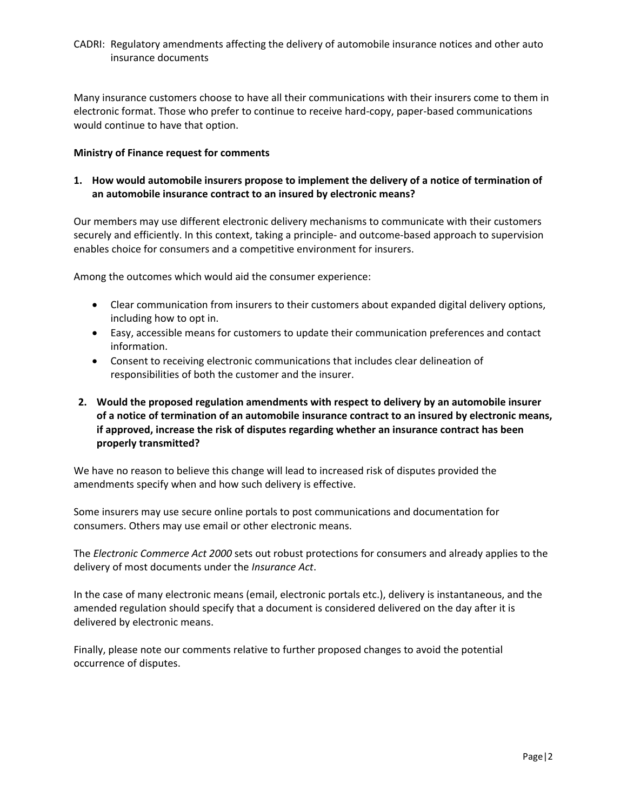### CADRI: Regulatory amendments affecting the delivery of automobile insurance notices and other auto insurance documents

Many insurance customers choose to have all their communications with their insurers come to them in electronic format. Those who prefer to continue to receive hard-copy, paper-based communications would continue to have that option.

#### **Ministry of Finance request for comments**

# **1. How would automobile insurers propose to implement the delivery of a notice of termination of an automobile insurance contract to an insured by electronic means?**

Our members may use different electronic delivery mechanisms to communicate with their customers securely and efficiently. In this context, taking a principle- and outcome-based approach to supervision enables choice for consumers and a competitive environment for insurers.

Among the outcomes which would aid the consumer experience:

- Clear communication from insurers to their customers about expanded digital delivery options, including how to opt in.
- Easy, accessible means for customers to update their communication preferences and contact information.
- Consent to receiving electronic communications that includes clear delineation of responsibilities of both the customer and the insurer.

# **2. Would the proposed regulation amendments with respect to delivery by an automobile insurer of a notice of termination of an automobile insurance contract to an insured by electronic means, if approved, increase the risk of disputes regarding whether an insurance contract has been properly transmitted?**

We have no reason to believe this change will lead to increased risk of disputes provided the amendments specify when and how such delivery is effective.

Some insurers may use secure online portals to post communications and documentation for consumers. Others may use email or other electronic means.

The *Electronic Commerce Act 2000* sets out robust protections for consumers and already applies to the delivery of most documents under the *Insurance Act*.

In the case of many electronic means (email, electronic portals etc.), delivery is instantaneous, and the amended regulation should specify that a document is considered delivered on the day after it is delivered by electronic means.

Finally, please note our comments relative to further proposed changes to avoid the potential occurrence of disputes.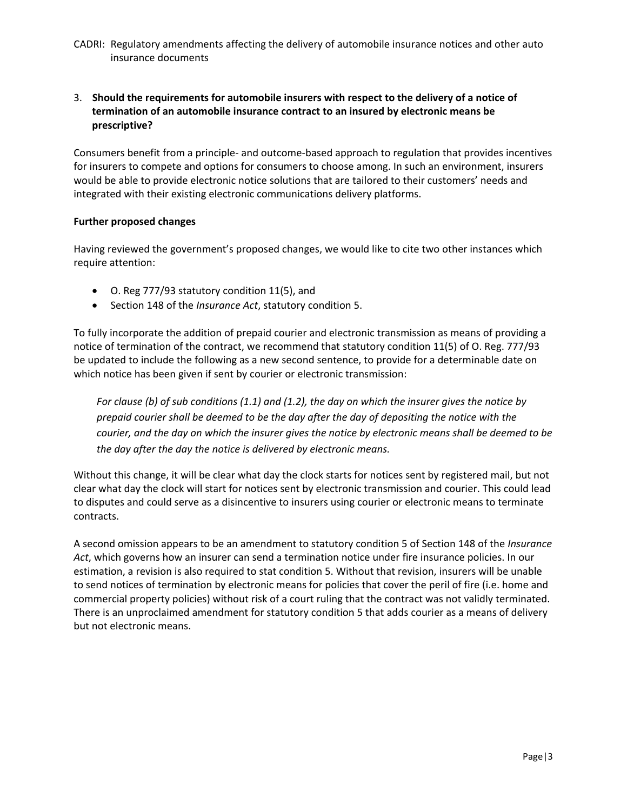CADRI: Regulatory amendments affecting the delivery of automobile insurance notices and other auto insurance documents

# 3. **Should the requirements for automobile insurers with respect to the delivery of a notice of termination of an automobile insurance contract to an insured by electronic means be prescriptive?**

Consumers benefit from a principle- and outcome-based approach to regulation that provides incentives for insurers to compete and options for consumers to choose among. In such an environment, insurers would be able to provide electronic notice solutions that are tailored to their customers' needs and integrated with their existing electronic communications delivery platforms.

#### **Further proposed changes**

Having reviewed the government's proposed changes, we would like to cite two other instances which require attention:

- O. Reg 777/93 statutory condition 11(5), and
- Section 148 of the *Insurance Act*, statutory condition 5.

To fully incorporate the addition of prepaid courier and electronic transmission as means of providing a notice of termination of the contract, we recommend that statutory condition 11(5) of O. Reg. 777/93 be updated to include the following as a new second sentence, to provide for a determinable date on which notice has been given if sent by courier or electronic transmission:

*For clause (b) of sub conditions (1.1) and (1.2), the day on which the insurer gives the notice by prepaid courier shall be deemed to be the day after the day of depositing the notice with the courier, and the day on which the insurer gives the notice by electronic means shall be deemed to be the day after the day the notice is delivered by electronic means.*

Without this change, it will be clear what day the clock starts for notices sent by registered mail, but not clear what day the clock will start for notices sent by electronic transmission and courier. This could lead to disputes and could serve as a disincentive to insurers using courier or electronic means to terminate contracts.

A second omission appears to be an amendment to statutory condition 5 of Section 148 of the *Insurance Act*, which governs how an insurer can send a termination notice under fire insurance policies. In our estimation, a revision is also required to stat condition 5. Without that revision, insurers will be unable to send notices of termination by electronic means for policies that cover the peril of fire (i.e. home and commercial property policies) without risk of a court ruling that the contract was not validly terminated. There is an unproclaimed amendment for statutory condition 5 that adds courier as a means of delivery but not electronic means.